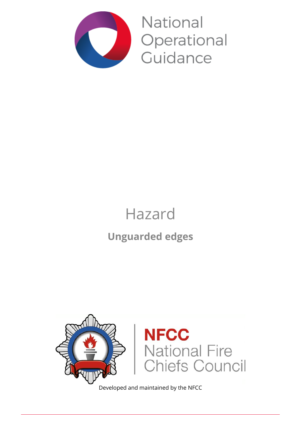

National Operational Guidance

# Hazard

## **Unguarded edges**



Developed and maintained by the NFCC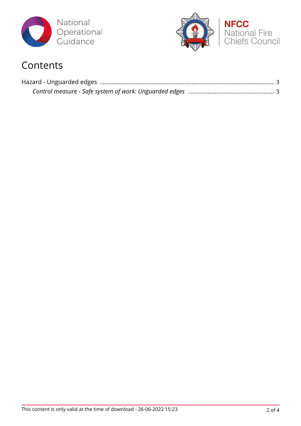



## **Contents**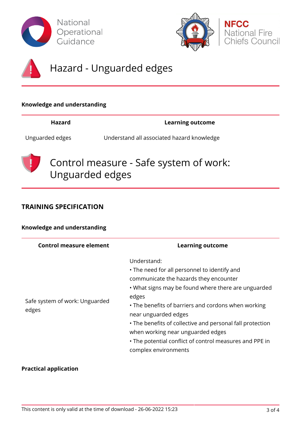





## Hazard - Unguarded edges

#### **Knowledge and understanding**

**Hazard Learning outcome**

Unguarded edges Understand all associated hazard knowledge



Control measure - Safe system of work: Unguarded edges

#### **TRAINING SPECIFICATION**

#### **Knowledge and understanding**

| <b>Control measure element</b>          | <b>Learning outcome</b>                                                                                                                                                                                                                                                                                                                                                                                                                   |
|-----------------------------------------|-------------------------------------------------------------------------------------------------------------------------------------------------------------------------------------------------------------------------------------------------------------------------------------------------------------------------------------------------------------------------------------------------------------------------------------------|
| Safe system of work: Unguarded<br>edges | Understand:<br>• The need for all personnel to identify and<br>communicate the hazards they encounter<br>. What signs may be found where there are unguarded<br>edges<br>• The benefits of barriers and cordons when working<br>near unguarded edges<br>• The benefits of collective and personal fall protection<br>when working near unguarded edges<br>• The potential conflict of control measures and PPE in<br>complex environments |

#### **Practical application**